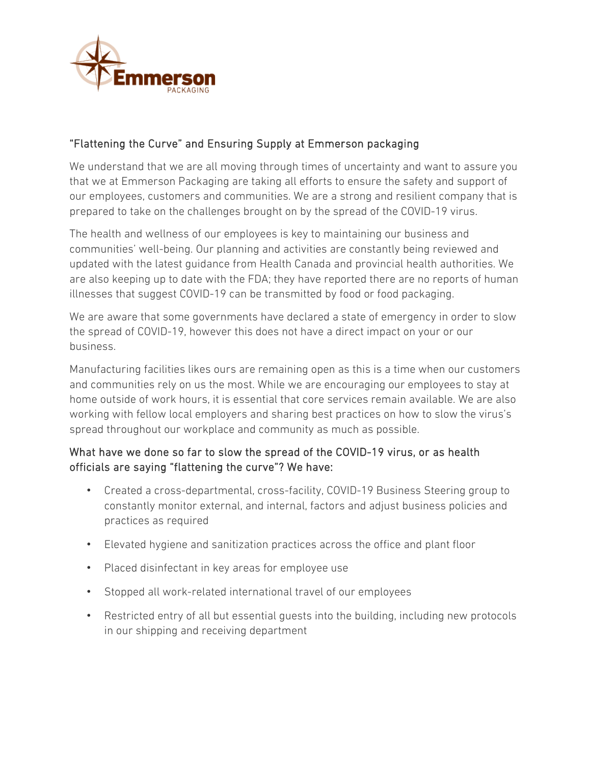

## "Flattening the Curve" and Ensuring Supply at Emmerson packaging

We understand that we are all moving through times of uncertainty and want to assure you that we at Emmerson Packaging are taking all efforts to ensure the safety and support of our employees, customers and communities. We are a strong and resilient company that is prepared to take on the challenges brought on by the spread of the COVID-19 virus.

The health and wellness of our employees is key to maintaining our business and communities' well-being. Our planning and activities are constantly being reviewed and updated with the latest guidance from Health Canada and provincial health authorities. We are also keeping up to date with the FDA; they have reported there are no reports of human illnesses that suggest COVID-19 can be transmitted by food or food packaging.

We are aware that some governments have declared a state of emergency in order to slow the spread of COVID-19, however this does not have a direct impact on your or our business.

Manufacturing facilities likes ours are remaining open as this is a time when our customers and communities rely on us the most. While we are encouraging our employees to stay at home outside of work hours, it is essential that core services remain available. We are also working with fellow local employers and sharing best practices on how to slow the virus's spread throughout our workplace and community as much as possible.

## What have we done so far to slow the spread of the COVID-19 virus, or as health officials are saying "flattening the curve"? We have:

- Created a cross-departmental, cross-facility, COVID-19 Business Steering group to constantly monitor external, and internal, factors and adjust business policies and practices as required
- Elevated hygiene and sanitization practices across the office and plant floor
- Placed disinfectant in key areas for employee use
- Stopped all work-related international travel of our employees
- Restricted entry of all but essential guests into the building, including new protocols in our shipping and receiving department